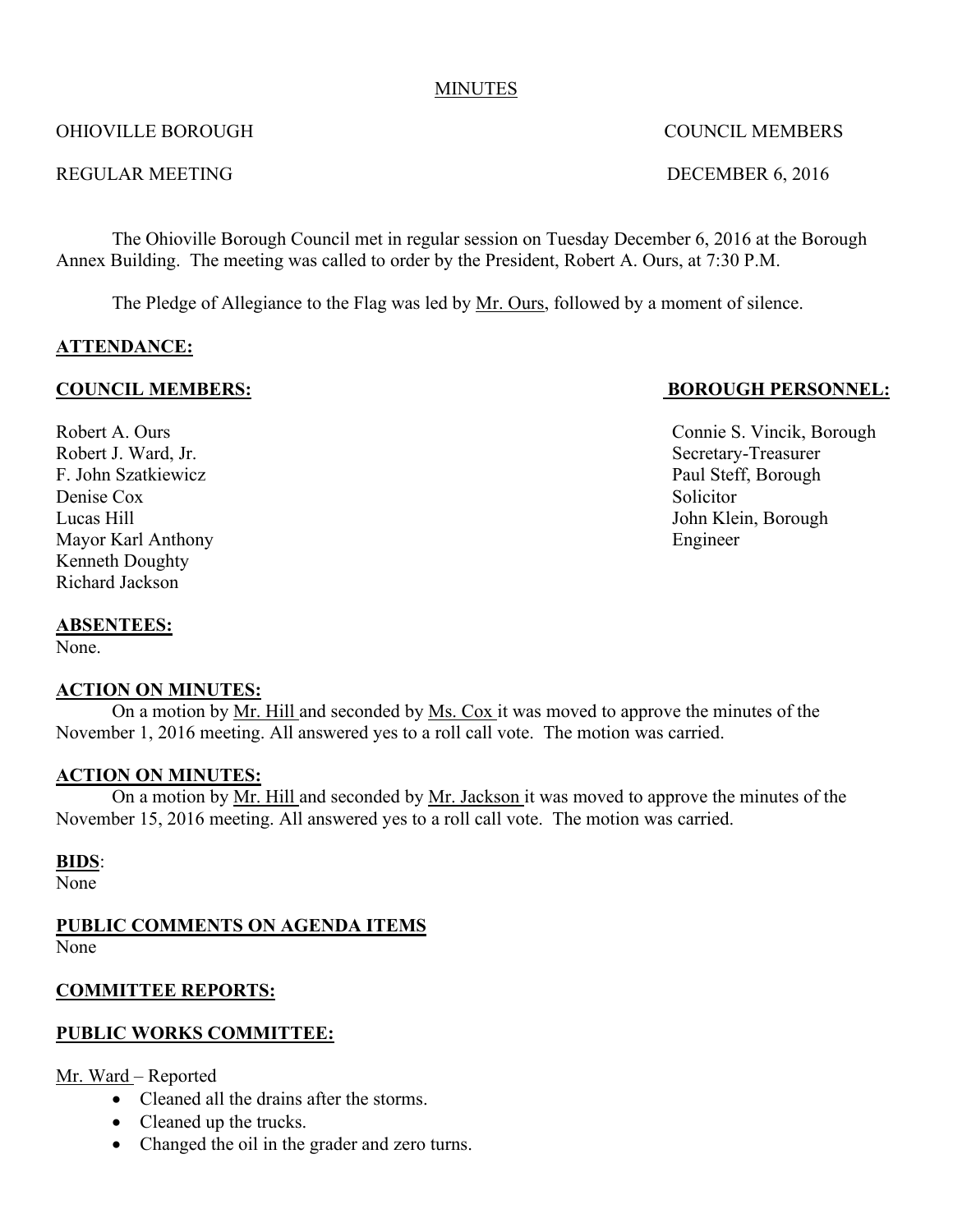#### MINUTES

### OHIOVILLE BOROUGH COUNCIL MEMBERS

#### REGULAR MEETING DECEMBER 6, 2016

The Ohioville Borough Council met in regular session on Tuesday December 6, 2016 at the Borough Annex Building. The meeting was called to order by the President, Robert A. Ours, at 7:30 P.M.

The Pledge of Allegiance to the Flag was led by Mr. Ours, followed by a moment of silence.

### **ATTENDANCE:**

#### **COUNCIL MEMBERS: BOROUGH PERSONNEL:**

Robert J. Ward, Jr. Secretary-Treasurer F. John Szatkiewicz Paul Steff, Borough Denise Cox Solicitor Lucas Hill John Klein, Borough Mayor Karl Anthony Engineer Kenneth Doughty Richard Jackson

#### **ABSENTEES:**

None.

#### **ACTION ON MINUTES:**

On a motion by Mr. Hill and seconded by Ms. Cox it was moved to approve the minutes of the November 1, 2016 meeting. All answered yes to a roll call vote. The motion was carried.

#### **ACTION ON MINUTES:**

On a motion by Mr. Hill and seconded by Mr. Jackson it was moved to approve the minutes of the November 15, 2016 meeting. All answered yes to a roll call vote. The motion was carried.

#### **BIDS**:

None

**PUBLIC COMMENTS ON AGENDA ITEMS** None

### **COMMITTEE REPORTS:**

### **PUBLIC WORKS COMMITTEE:**

Mr. Ward – Reported

- Cleaned all the drains after the storms.
- Cleaned up the trucks.
- Changed the oil in the grader and zero turns.

Robert A. Ours Connie S. Vincik, Borough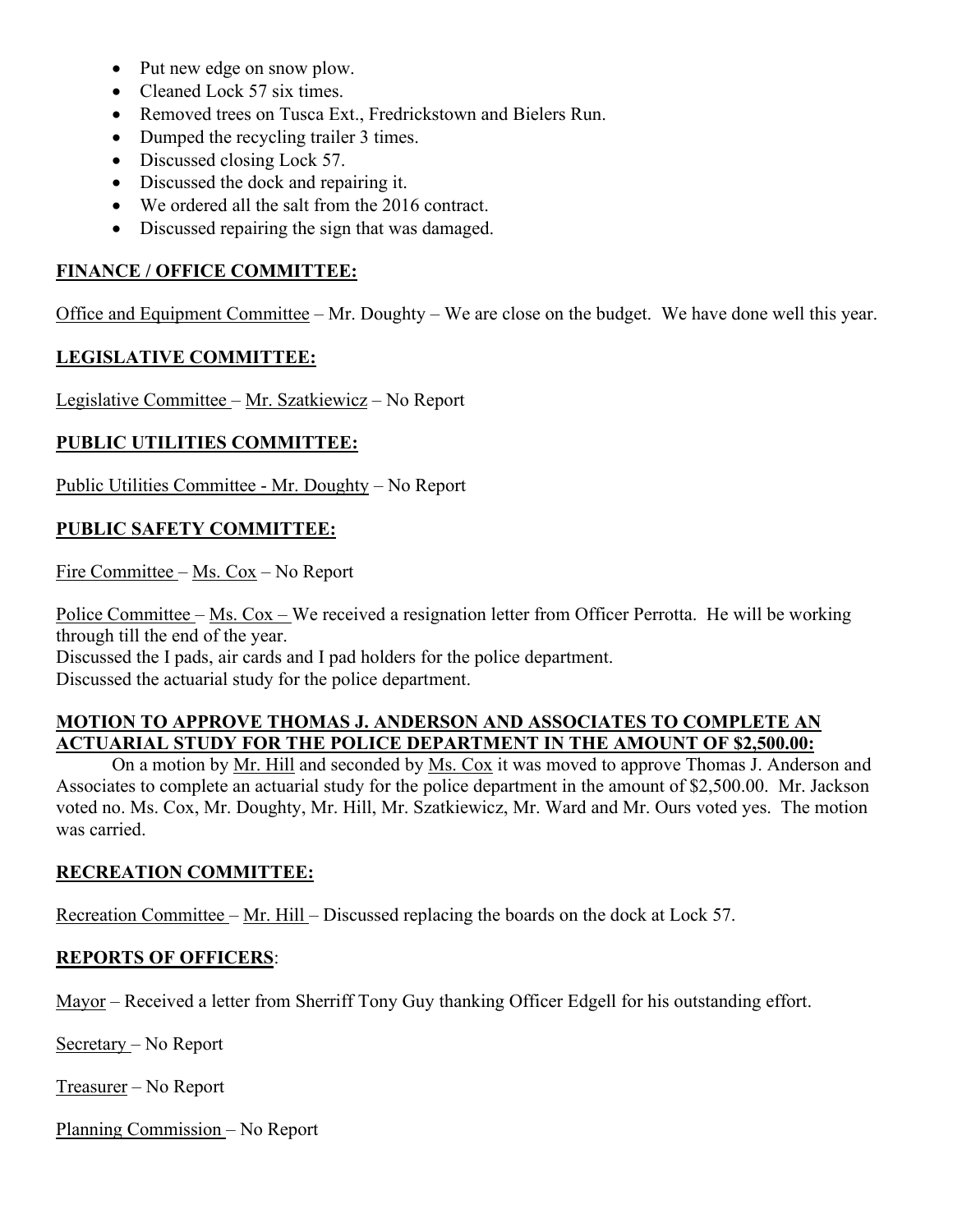- Put new edge on snow plow.
- Cleaned Lock 57 six times.
- Removed trees on Tusca Ext., Fredrickstown and Bielers Run.
- Dumped the recycling trailer 3 times.
- Discussed closing Lock 57.
- Discussed the dock and repairing it.
- We ordered all the salt from the 2016 contract.
- Discussed repairing the sign that was damaged.

#### **FINANCE / OFFICE COMMITTEE:**

Office and Equipment Committee – Mr. Doughty – We are close on the budget. We have done well this year.

#### **LEGISLATIVE COMMITTEE:**

Legislative Committee – Mr. Szatkiewicz – No Report

#### **PUBLIC UTILITIES COMMITTEE:**

Public Utilities Committee - Mr. Doughty – No Report

#### **PUBLIC SAFETY COMMITTEE:**

Fire Committee – Ms. Cox – No Report

Police Committee – Ms. Cox – We received a resignation letter from Officer Perrotta. He will be working through till the end of the year. Discussed the I pads, air cards and I pad holders for the police department. Discussed the actuarial study for the police department.

#### **MOTION TO APPROVE THOMAS J. ANDERSON AND ASSOCIATES TO COMPLETE AN ACTUARIAL STUDY FOR THE POLICE DEPARTMENT IN THE AMOUNT OF \$2,500.00:**

On a motion by Mr. Hill and seconded by Ms. Cox it was moved to approve Thomas J. Anderson and Associates to complete an actuarial study for the police department in the amount of \$2,500.00. Mr. Jackson voted no. Ms. Cox, Mr. Doughty, Mr. Hill, Mr. Szatkiewicz, Mr. Ward and Mr. Ours voted yes. The motion was carried.

### **RECREATION COMMITTEE:**

Recreation Committee – Mr. Hill – Discussed replacing the boards on the dock at Lock 57.

#### **REPORTS OF OFFICERS**:

Mayor – Received a letter from Sherriff Tony Guy thanking Officer Edgell for his outstanding effort.

Secretary – No Report

Treasurer – No Report

Planning Commission – No Report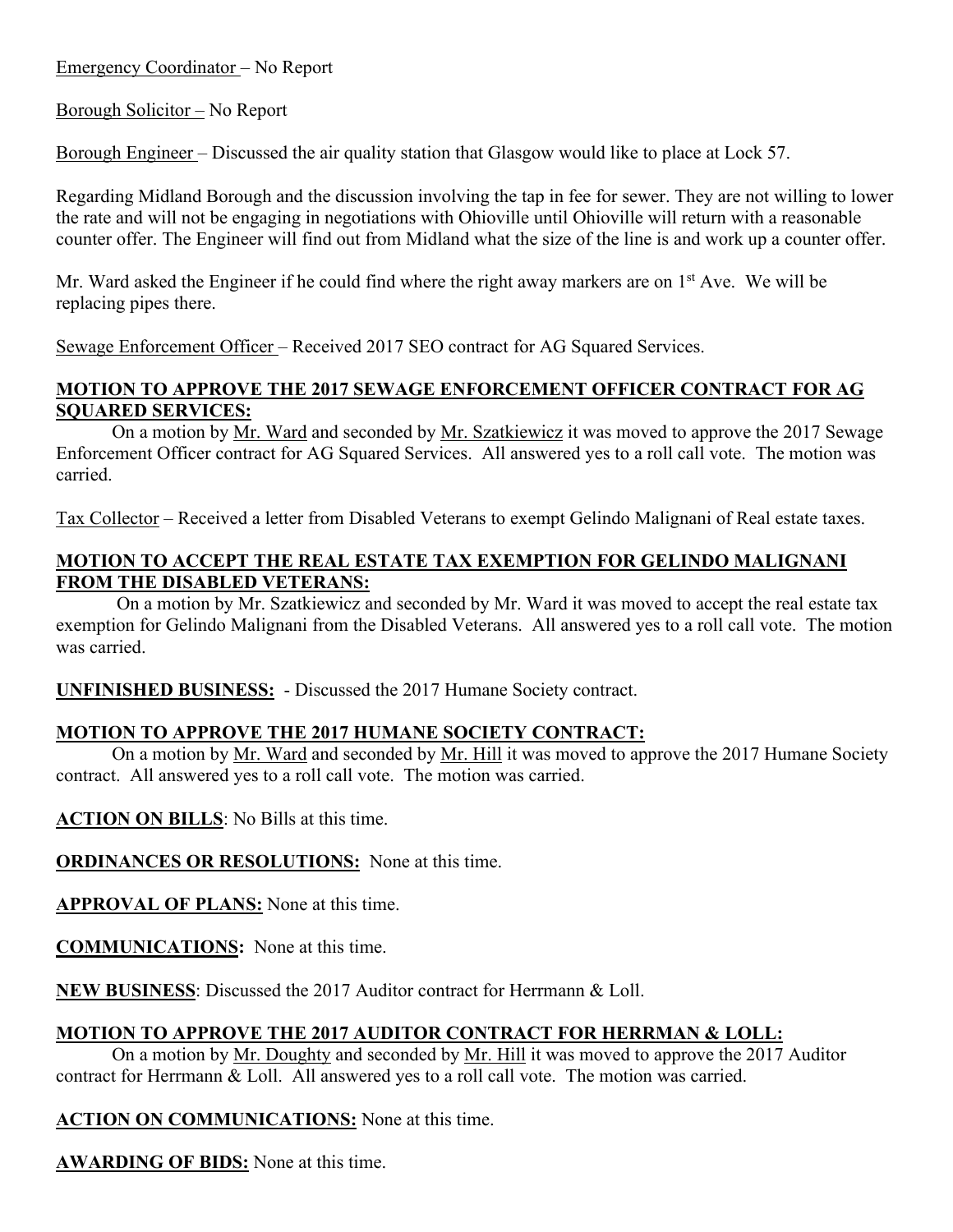Emergency Coordinator – No Report

Borough Solicitor – No Report

Borough Engineer – Discussed the air quality station that Glasgow would like to place at Lock 57.

Regarding Midland Borough and the discussion involving the tap in fee for sewer. They are not willing to lower the rate and will not be engaging in negotiations with Ohioville until Ohioville will return with a reasonable counter offer. The Engineer will find out from Midland what the size of the line is and work up a counter offer.

Mr. Ward asked the Engineer if he could find where the right away markers are on 1<sup>st</sup> Ave. We will be replacing pipes there.

Sewage Enforcement Officer – Received 2017 SEO contract for AG Squared Services.

# **MOTION TO APPROVE THE 2017 SEWAGE ENFORCEMENT OFFICER CONTRACT FOR AG SQUARED SERVICES:**

On a motion by Mr. Ward and seconded by Mr. Szatkiewicz it was moved to approve the 2017 Sewage Enforcement Officer contract for AG Squared Services. All answered yes to a roll call vote. The motion was carried.

Tax Collector – Received a letter from Disabled Veterans to exempt Gelindo Malignani of Real estate taxes.

## **MOTION TO ACCEPT THE REAL ESTATE TAX EXEMPTION FOR GELINDO MALIGNANI FROM THE DISABLED VETERANS:**

 On a motion by Mr. Szatkiewicz and seconded by Mr. Ward it was moved to accept the real estate tax exemption for Gelindo Malignani from the Disabled Veterans. All answered yes to a roll call vote. The motion was carried.

**UNFINISHED BUSINESS:** - Discussed the 2017 Humane Society contract.

# **MOTION TO APPROVE THE 2017 HUMANE SOCIETY CONTRACT:**

On a motion by Mr. Ward and seconded by Mr. Hill it was moved to approve the 2017 Humane Society contract. All answered yes to a roll call vote. The motion was carried.

**ACTION ON BILLS**: No Bills at this time.

**ORDINANCES OR RESOLUTIONS:** None at this time.

**APPROVAL OF PLANS:** None at this time.

**COMMUNICATIONS:** None at this time.

**NEW BUSINESS**: Discussed the 2017 Auditor contract for Herrmann & Loll.

# **MOTION TO APPROVE THE 2017 AUDITOR CONTRACT FOR HERRMAN & LOLL:**

On a motion by Mr. Doughty and seconded by Mr. Hill it was moved to approve the 2017 Auditor contract for Herrmann & Loll. All answered yes to a roll call vote. The motion was carried.

**ACTION ON COMMUNICATIONS:** None at this time.

**AWARDING OF BIDS:** None at this time.